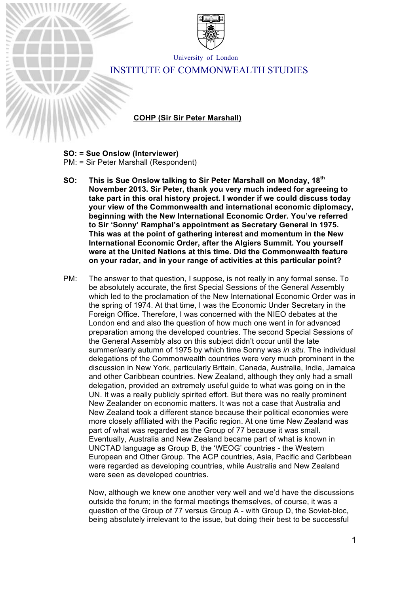

University of London

# INSTITUTE OF COMMONWEALTH STUDIES

**VOICE FILE NAME COHP (Sir Sir Peter Marshall)**

### **SO: = Sue Onslow (Interviewer)**

Key:

PM: = Sir Peter Marshall (Respondent)

- **SO: This is Sue Onslow talking to Sir Peter Marshall on Monday, 18th November 2013. Sir Peter, thank you very much indeed for agreeing to take part in this oral history project. I wonder if we could discuss today your view of the Commonwealth and international economic diplomacy, beginning with the New International Economic Order. You've referred to Sir 'Sonny' Ramphal's appointment as Secretary General in 1975. This was at the point of gathering interest and momentum in the New International Economic Order, after the Algiers Summit. You yourself were at the United Nations at this time. Did the Commonwealth feature on your radar, and in your range of activities at this particular point?**
- PM: The answer to that question, I suppose, is not really in any formal sense. To be absolutely accurate, the first Special Sessions of the General Assembly which led to the proclamation of the New International Economic Order was in the spring of 1974. At that time, I was the Economic Under Secretary in the Foreign Office. Therefore, I was concerned with the NIEO debates at the London end and also the question of how much one went in for advanced preparation among the developed countries. The second Special Sessions of the General Assembly also on this subject didn't occur until the late summer/early autumn of 1975 by which time Sonny was *in situ*. The individual delegations of the Commonwealth countries were very much prominent in the discussion in New York, particularly Britain, Canada, Australia, India, Jamaica and other Caribbean countries. New Zealand, although they only had a small delegation, provided an extremely useful guide to what was going on in the UN. It was a really publicly spirited effort. But there was no really prominent New Zealander on economic matters. It was not a case that Australia and New Zealand took a different stance because their political economies were more closely affiliated with the Pacific region. At one time New Zealand was part of what was regarded as the Group of 77 because it was small. Eventually, Australia and New Zealand became part of what is known in UNCTAD language as Group B, the 'WEOG' countries - the Western European and Other Group. The ACP countries, Asia, Pacific and Caribbean were regarded as developing countries, while Australia and New Zealand were seen as developed countries.

Now, although we knew one another very well and we'd have the discussions outside the forum; in the formal meetings themselves, of course, it was a question of the Group of 77 versus Group A - with Group D, the Soviet-bloc, being absolutely irrelevant to the issue, but doing their best to be successful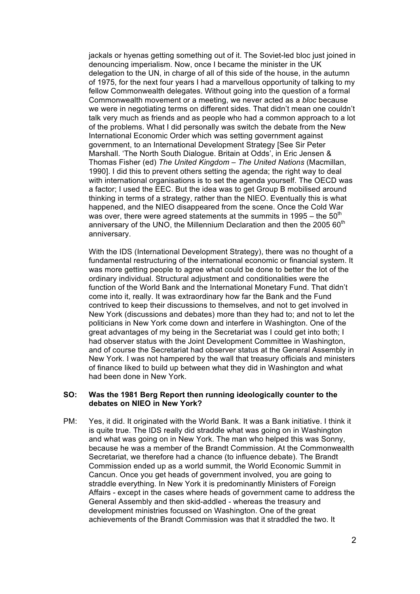jackals or hyenas getting something out of it. The Soviet-led bloc just joined in denouncing imperialism. Now, once I became the minister in the UK delegation to the UN, in charge of all of this side of the house, in the autumn of 1975, for the next four years I had a marvellous opportunity of talking to my fellow Commonwealth delegates. Without going into the question of a formal Commonwealth movement or a meeting, we never acted as a *bloc* because we were in negotiating terms on different sides. That didn't mean one couldn't talk very much as friends and as people who had a common approach to a lot of the problems. What I did personally was switch the debate from the New International Economic Order which was setting government against government, to an International Development Strategy [See Sir Peter Marshall. 'The North South Dialogue. Britain at Odds', in Eric Jensen & Thomas Fisher (ed) *The United Kingdom – The United Nations* (Macmillan, 1990]. I did this to prevent others setting the agenda; the right way to deal with international organisations is to set the agenda yourself. The OECD was a factor; I used the EEC. But the idea was to get Group B mobilised around thinking in terms of a strategy, rather than the NIEO. Eventually this is what happened, and the NIEO disappeared from the scene. Once the Cold War was over, there were agreed statements at the summits in 1995 – the  $50<sup>th</sup>$ anniversary of the UNO, the Millennium Declaration and then the 2005  $60<sup>th</sup>$ anniversary.

With the IDS (International Development Strategy), there was no thought of a fundamental restructuring of the international economic or financial system. It was more getting people to agree what could be done to better the lot of the ordinary individual. Structural adjustment and conditionalities were the function of the World Bank and the International Monetary Fund. That didn't come into it, really. It was extraordinary how far the Bank and the Fund contrived to keep their discussions to themselves, and not to get involved in New York (discussions and debates) more than they had to; and not to let the politicians in New York come down and interfere in Washington. One of the great advantages of my being in the Secretariat was I could get into both; I had observer status with the Joint Development Committee in Washington, and of course the Secretariat had observer status at the General Assembly in New York. I was not hampered by the wall that treasury officials and ministers of finance liked to build up between what they did in Washington and what had been done in New York.

### **SO: Was the 1981 Berg Report then running ideologically counter to the debates on NIEO in New York?**

PM: Yes, it did. It originated with the World Bank. It was a Bank initiative. I think it is quite true. The IDS really did straddle what was going on in Washington and what was going on in New York. The man who helped this was Sonny, because he was a member of the Brandt Commission. At the Commonwealth Secretariat, we therefore had a chance (to influence debate). The Brandt Commission ended up as a world summit, the World Economic Summit in Cancun. Once you get heads of government involved, you are going to straddle everything. In New York it is predominantly Ministers of Foreign Affairs - except in the cases where heads of government came to address the General Assembly and then skid-addled - whereas the treasury and development ministries focussed on Washington. One of the great achievements of the Brandt Commission was that it straddled the two. It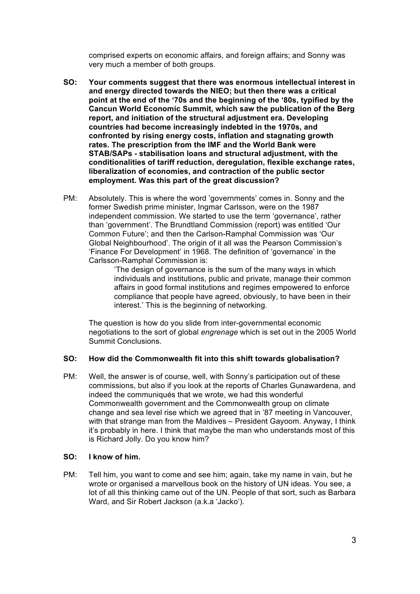comprised experts on economic affairs, and foreign affairs; and Sonny was very much a member of both groups.

- **SO: Your comments suggest that there was enormous intellectual interest in and energy directed towards the NIEO; but then there was a critical point at the end of the '70s and the beginning of the '80s, typified by the Cancun World Economic Summit, which saw the publication of the Berg report, and initiation of the structural adjustment era. Developing countries had become increasingly indebted in the 1970s, and confronted by rising energy costs, inflation and stagnating growth rates. The prescription from the IMF and the World Bank were STAB/SAPs - stabilisation loans and structural adjustment, with the conditionalities of tariff reduction, deregulation, flexible exchange rates, liberalization of economies, and contraction of the public sector employment. Was this part of the great discussion?**
- PM: Absolutely. This is where the word 'governments' comes in. Sonny and the former Swedish prime minister, Ingmar Carlsson, were on the 1987 independent commission. We started to use the term 'governance', rather than 'government'. The Brundtland Commission (report) was entitled 'Our Common Future'; and then the Carlson-Ramphal Commission was 'Our Global Neighbourhood'. The origin of it all was the Pearson Commission's 'Finance For Development' in 1968. The definition of 'governance' in the Carlsson-Ramphal Commission is:

'The design of governance is the sum of the many ways in which individuals and institutions, public and private, manage their common affairs in good formal institutions and regimes empowered to enforce compliance that people have agreed, obviously, to have been in their interest.' This is the beginning of networking.

The question is how do you slide from inter-governmental economic negotiations to the sort of global *engrenage* which is set out in the 2005 World Summit Conclusions.

#### **SO: How did the Commonwealth fit into this shift towards globalisation?**

PM: Well, the answer is of course, well, with Sonny's participation out of these commissions, but also if you look at the reports of Charles Gunawardena, and indeed the communiqués that we wrote, we had this wonderful Commonwealth government and the Commonwealth group on climate change and sea level rise which we agreed that in '87 meeting in Vancouver, with that strange man from the Maldives – President Gayoom. Anyway, I think it's probably in here. I think that maybe the man who understands most of this is Richard Jolly. Do you know him?

#### **SO: I know of him.**

PM: Tell him, you want to come and see him; again, take my name in vain, but he wrote or organised a marvellous book on the history of UN ideas. You see, a lot of all this thinking came out of the UN. People of that sort, such as Barbara Ward, and Sir Robert Jackson (a.k.a 'Jacko').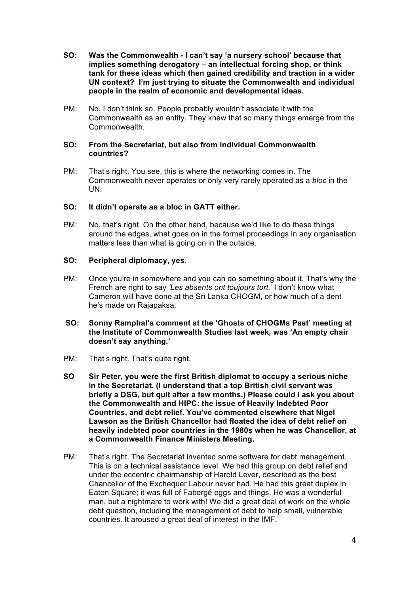- **SO: Was the Commonwealth - I can't say 'a nursery school' because that implies something derogatory – an intellectual forcing shop, or think tank for these ideas which then gained credibility and traction in a wider UN context? I'm just trying to situate the Commonwealth and individual people in the realm of economic and developmental ideas.**
- PM: No, I don't think so. People probably wouldn't associate it with the Commonwealth as an entity. They knew that so many things emerge from the Commonwealth.

### **SO: From the Secretariat, but also from individual Commonwealth countries?**

PM: That's right. You see, this is where the networking comes in. The Commonwealth never operates or only very rarely operated as a *bloc* in the UN.

# **SO: It didn't operate as a bloc in GATT either.**

PM: No, that's right. On the other hand, because we'd like to do these things around the edges, what goes on in the formal proceedings in any organisation matters less than what is going on in the outside.

# **SO: Peripheral diplomacy, yes.**

PM: Once you're in somewhere and you can do something about it. That's why the French are right to say *'Les absents ont toujours tort.'* I don't know what Cameron will have done at the Sri Lanka CHOGM, or how much of a dent he's made on Rajapaksa.

# **SO: Sonny Ramphal's comment at the 'Ghosts of CHOGMs Past' meeting at the Institute of Commonwealth Studies last week, was 'An empty chair doesn't say anything.'**

- PM: That's right. That's quite right.
- **SO Sir Peter, you were the first British diplomat to occupy a serious niche in the Secretariat. (I understand that a top British civil servant was briefly a DSG, but quit after a few months.) Please could I ask you about the Commonwealth and HIPC: the issue of Heavily Indebted Poor Countries, and debt relief. You've commented elsewhere that Nigel Lawson as the British Chancellor had floated the idea of debt relief on heavily indebted poor countries in the 1980s when he was Chancellor, at a Commonwealth Finance Ministers Meeting.**
- PM: That's right. The Secretariat invented some software for debt management. This is on a technical assistance level. We had this group on debt relief and under the eccentric chairmanship of Harold Lever, described as the best Chancellor of the Exchequer Labour never had. He had this great duplex in Eaton Square; it was full of Fabergé eggs and things. He was a wonderful man, but a nightmare to work with! We did a great deal of work on the whole debt question, including the management of debt to help small, vulnerable countries. It aroused a great deal of interest in the IMF.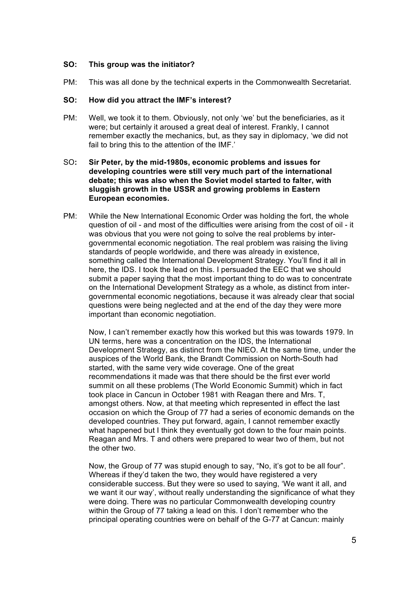# **SO: This group was the initiator?**

PM: This was all done by the technical experts in the Commonwealth Secretariat.

### **SO: How did you attract the IMF's interest?**

PM: Well, we took it to them. Obviously, not only 'we' but the beneficiaries, as it were; but certainly it aroused a great deal of interest. Frankly, I cannot remember exactly the mechanics, but, as they say in diplomacy, 'we did not fail to bring this to the attention of the IMF.'

# SO**: Sir Peter, by the mid-1980s, economic problems and issues for developing countries were still very much part of the international debate; this was also when the Soviet model started to falter, with sluggish growth in the USSR and growing problems in Eastern European economies.**

PM: While the New International Economic Order was holding the fort, the whole question of oil - and most of the difficulties were arising from the cost of oil - it was obvious that you were not going to solve the real problems by intergovernmental economic negotiation. The real problem was raising the living standards of people worldwide, and there was already in existence, something called the International Development Strategy. You'll find it all in here, the IDS. I took the lead on this. I persuaded the EEC that we should submit a paper saying that the most important thing to do was to concentrate on the International Development Strategy as a whole, as distinct from intergovernmental economic negotiations, because it was already clear that social questions were being neglected and at the end of the day they were more important than economic negotiation.

Now, I can't remember exactly how this worked but this was towards 1979. In UN terms, here was a concentration on the IDS, the International Development Strategy, as distinct from the NIEO. At the same time, under the auspices of the World Bank, the Brandt Commission on North-South had started, with the same very wide coverage. One of the great recommendations it made was that there should be the first ever world summit on all these problems (The World Economic Summit) which in fact took place in Cancun in October 1981 with Reagan there and Mrs. T, amongst others. Now, at that meeting which represented in effect the last occasion on which the Group of 77 had a series of economic demands on the developed countries. They put forward, again, I cannot remember exactly what happened but I think they eventually got down to the four main points. Reagan and Mrs. T and others were prepared to wear two of them, but not the other two.

Now, the Group of 77 was stupid enough to say, "No, it's got to be all four". Whereas if they'd taken the two, they would have registered a very considerable success. But they were so used to saying, 'We want it all, and we want it our way', without really understanding the significance of what they were doing. There was no particular Commonwealth developing country within the Group of 77 taking a lead on this. I don't remember who the principal operating countries were on behalf of the G-77 at Cancun: mainly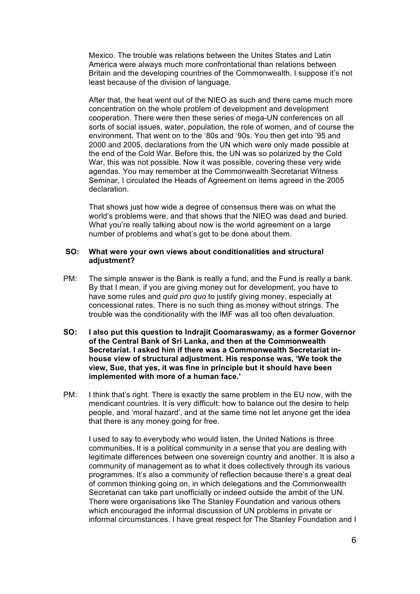Mexico. The trouble was relations between the Unites States and Latin America were always much more confrontational than relations between Britain and the developing countries of the Commonwealth. I suppose it's not least because of the division of language.

After that, the heat went out of the NIEO as such and there came much more concentration on the whole problem of development and development cooperation. There were then these series of mega-UN conferences on all sorts of social issues, water, population, the role of women, and of course the environment. That went on to the '80s and '90s. You then get into '95 and 2000 and 2005, declarations from the UN which were only made possible at the end of the Cold War. Before this, the UN was so polarized by the Cold War, this was not possible. Now it was possible, covering these very wide agendas. You may remember at the Commonwealth Secretariat Witness Seminar, I circulated the Heads of Agreement on items agreed in the 2005 declaration.

That shows just how wide a degree of consensus there was on what the world's problems were, and that shows that the NIEO was dead and buried. What you're really talking about now is the world agreement on a large number of problems and what's got to be done about them.

#### **SO: What were your own views about conditionalities and structural adjustment?**

- PM: The simple answer is the Bank is really a fund, and the Fund is really a bank. By that I mean, if you are giving money out for development, you have to have some rules and *quid pro quo* to justify giving money, especially at concessional rates. There is no such thing as money without strings. The trouble was the conditionality with the IMF was all too often devaluation.
- **SO: I also put this question to Indrajit Coomaraswamy, as a former Governor of the Central Bank of Sri Lanka, and then at the Commonwealth Secretariat. I asked him if there was a Commonwealth Secretariat inhouse view of structural adjustment. His response was, 'We took the view, Sue, that yes, it was fine in principle but it should have been implemented with more of a human face.'**
- PM: I think that's right. There is exactly the same problem in the EU now, with the mendicant countries. It is very difficult: how to balance out the desire to help people, and 'moral hazard', and at the same time not let anyone get the idea that there is any money going for free.

I used to say to everybody who would listen, the United Nations is three communities. It is a political community in a sense that you are dealing with legitimate differences between one sovereign country and another. It is also a community of management as to what it does collectively through its various programmes. It's also a community of reflection because there's a great deal of common thinking going on, in which delegations and the Commonwealth Secretariat can take part unofficially or indeed outside the ambit of the UN. There were organisations like The Stanley Foundation and various others which encouraged the informal discussion of UN problems in private or informal circumstances. I have great respect for The Stanley Foundation and I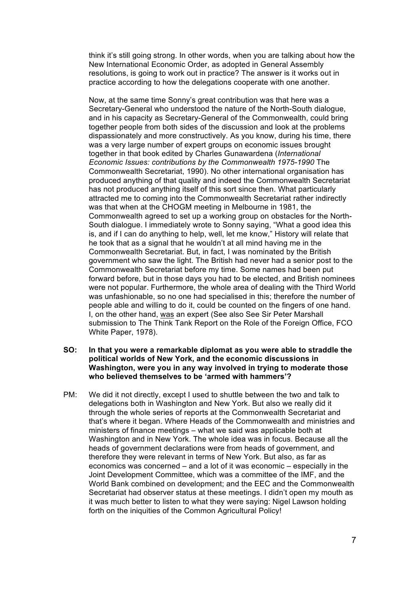think it's still going strong. In other words, when you are talking about how the New International Economic Order, as adopted in General Assembly resolutions, is going to work out in practice? The answer is it works out in practice according to how the delegations cooperate with one another.

Now, at the same time Sonny's great contribution was that here was a Secretary-General who understood the nature of the North-South dialogue, and in his capacity as Secretary-General of the Commonwealth, could bring together people from both sides of the discussion and look at the problems dispassionately and more constructively. As you know, during his time, there was a very large number of expert groups on economic issues brought together in that book edited by Charles Gunawardena (*International Economic Issues: contributions by the Commonwealth 1975-1990* The Commonwealth Secretariat, 1990). No other international organisation has produced anything of that quality and indeed the Commonwealth Secretariat has not produced anything itself of this sort since then. What particularly attracted me to coming into the Commonwealth Secretariat rather indirectly was that when at the CHOGM meeting in Melbourne in 1981, the Commonwealth agreed to set up a working group on obstacles for the North-South dialogue. I immediately wrote to Sonny saying, "What a good idea this is, and if I can do anything to help, well, let me know," History will relate that he took that as a signal that he wouldn't at all mind having me in the Commonwealth Secretariat. But, in fact, I was nominated by the British government who saw the light. The British had never had a senior post to the Commonwealth Secretariat before my time. Some names had been put forward before, but in those days you had to be elected, and British nominees were not popular. Furthermore, the whole area of dealing with the Third World was unfashionable, so no one had specialised in this; therefore the number of people able and willing to do it, could be counted on the fingers of one hand. I, on the other hand, was an expert (See also See Sir Peter Marshall submission to The Think Tank Report on the Role of the Foreign Office, FCO White Paper, 1978).

### **SO: In that you were a remarkable diplomat as you were able to straddle the political worlds of New York, and the economic discussions in Washington, were you in any way involved in trying to moderate those who believed themselves to be 'armed with hammers'?**

PM: We did it not directly, except I used to shuttle between the two and talk to delegations both in Washington and New York. But also we really did it through the whole series of reports at the Commonwealth Secretariat and that's where it began. Where Heads of the Commonwealth and ministries and ministers of finance meetings – what we said was applicable both at Washington and in New York. The whole idea was in focus. Because all the heads of government declarations were from heads of government, and therefore they were relevant in terms of New York. But also, as far as economics was concerned – and a lot of it was economic – especially in the Joint Development Committee, which was a committee of the IMF, and the World Bank combined on development; and the EEC and the Commonwealth Secretariat had observer status at these meetings. I didn't open my mouth as it was much better to listen to what they were saying: Nigel Lawson holding forth on the iniquities of the Common Agricultural Policy!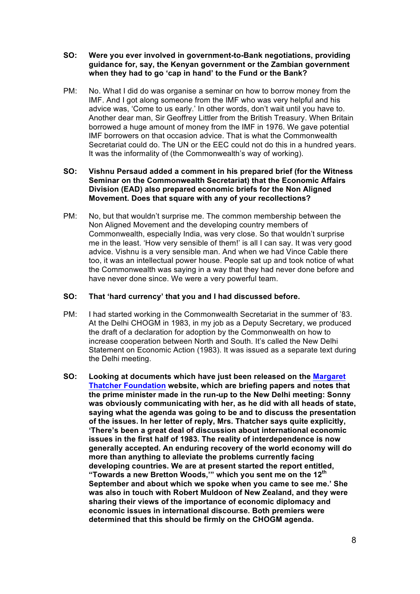- **SO: Were you ever involved in government-to-Bank negotiations, providing guidance for, say, the Kenyan government or the Zambian government when they had to go 'cap in hand' to the Fund or the Bank?**
- PM: No. What I did do was organise a seminar on how to borrow money from the IMF. And I got along someone from the IMF who was very helpful and his advice was, 'Come to us early.' In other words, don't wait until you have to. Another dear man, Sir Geoffrey Littler from the British Treasury. When Britain borrowed a huge amount of money from the IMF in 1976. We gave potential IMF borrowers on that occasion advice. That is what the Commonwealth Secretariat could do. The UN or the EEC could not do this in a hundred years. It was the informality of (the Commonwealth's way of working).

**SO: Vishnu Persaud added a comment in his prepared brief (for the Witness Seminar on the Commonwealth Secretariat) that the Economic Affairs Division (EAD) also prepared economic briefs for the Non Aligned Movement. Does that square with any of your recollections?**

PM: No, but that wouldn't surprise me. The common membership between the Non Aligned Movement and the developing country members of Commonwealth, especially India, was very close. So that wouldn't surprise me in the least. 'How very sensible of them!' is all I can say. It was very good advice. Vishnu is a very sensible man. And when we had Vince Cable there too, it was an intellectual power house. People sat up and took notice of what the Commonwealth was saying in a way that they had never done before and have never done since. We were a very powerful team.

### **SO: That 'hard currency' that you and I had discussed before.**

- PM: I had started working in the Commonwealth Secretariat in the summer of '83. At the Delhi CHOGM in 1983, in my job as a Deputy Secretary, we produced the draft of a declaration for adoption by the Commonwealth on how to increase cooperation between North and South. It's called the New Delhi Statement on Economic Action (1983). It was issued as a separate text during the Delhi meeting.
- **SO: Looking at documents which have just been released on the Margaret Thatcher Foundation website, which are briefing papers and notes that the prime minister made in the run-up to the New Delhi meeting: Sonny was obviously communicating with her, as he did with all heads of state, saying what the agenda was going to be and to discuss the presentation of the issues. In her letter of reply, Mrs. Thatcher says quite explicitly, 'There's been a great deal of discussion about international economic issues in the first half of 1983. The reality of interdependence is now generally accepted. An enduring recovery of the world economy will do more than anything to alleviate the problems currently facing developing countries. We are at present started the report entitled, "Towards a new Bretton Woods,'" which you sent me on the 12th September and about which we spoke when you came to see me.' She was also in touch with Robert Muldoon of New Zealand, and they were sharing their views of the importance of economic diplomacy and economic issues in international discourse. Both premiers were determined that this should be firmly on the CHOGM agenda.**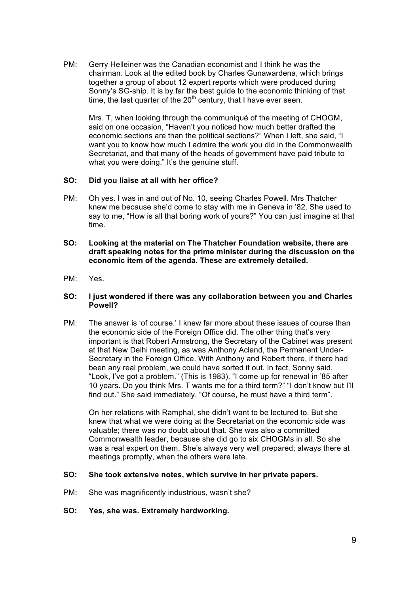PM: Gerry Helleiner was the Canadian economist and I think he was the chairman. Look at the edited book by Charles Gunawardena, which brings together a group of about 12 expert reports which were produced during Sonny's SG-ship. It is by far the best guide to the economic thinking of that time, the last quarter of the  $20<sup>th</sup>$  century, that I have ever seen.

Mrs. T, when looking through the communiqué of the meeting of CHOGM, said on one occasion, "Haven't you noticed how much better drafted the economic sections are than the political sections?" When I left, she said, "I want you to know how much I admire the work you did in the Commonwealth Secretariat, and that many of the heads of government have paid tribute to what you were doing." It's the genuine stuff.

# **SO: Did you liaise at all with her office?**

- PM: Oh yes. I was in and out of No. 10, seeing Charles Powell. Mrs Thatcher knew me because she'd come to stay with me in Geneva in '82. She used to say to me, "How is all that boring work of yours?" You can just imagine at that time.
- **SO: Looking at the material on The Thatcher Foundation website, there are draft speaking notes for the prime minister during the discussion on the economic item of the agenda. These are extremely detailed.**
- PM: Yes.

## **SO: I just wondered if there was any collaboration between you and Charles Powell?**

PM: The answer is 'of course.' I knew far more about these issues of course than the economic side of the Foreign Office did. The other thing that's very important is that Robert Armstrong, the Secretary of the Cabinet was present at that New Delhi meeting, as was Anthony Acland, the Permanent Under-Secretary in the Foreign Office. With Anthony and Robert there, if there had been any real problem, we could have sorted it out. In fact, Sonny said, "Look, I've got a problem." (This is 1983). "I come up for renewal in '85 after 10 years. Do you think Mrs. T wants me for a third term?" "I don't know but I'll find out." She said immediately, "Of course, he must have a third term".

On her relations with Ramphal, she didn't want to be lectured to. But she knew that what we were doing at the Secretariat on the economic side was valuable; there was no doubt about that. She was also a committed Commonwealth leader, because she did go to six CHOGMs in all. So she was a real expert on them. She's always very well prepared; always there at meetings promptly, when the others were late.

#### **SO: She took extensive notes, which survive in her private papers.**

- PM: She was magnificently industrious, wasn't she?
- **SO: Yes, she was. Extremely hardworking.**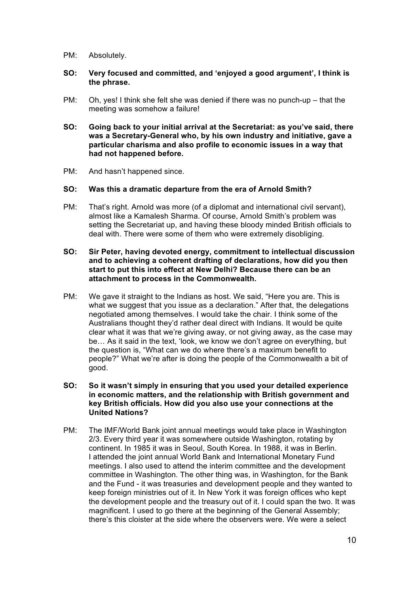- PM: Absolutely.
- **SO: Very focused and committed, and 'enjoyed a good argument', I think is the phrase.**
- PM: Oh, yes! I think she felt she was denied if there was no punch-up that the meeting was somehow a failure!
- **SO: Going back to your initial arrival at the Secretariat: as you've said, there was a Secretary-General who, by his own industry and initiative, gave a particular charisma and also profile to economic issues in a way that had not happened before.**
- PM: And hasn't happened since.

# **SO: Was this a dramatic departure from the era of Arnold Smith?**

PM: That's right. Arnold was more (of a diplomat and international civil servant), almost like a Kamalesh Sharma. Of course, Arnold Smith's problem was setting the Secretariat up, and having these bloody minded British officials to deal with. There were some of them who were extremely disobliging.

### **SO: Sir Peter, having devoted energy, commitment to intellectual discussion and to achieving a coherent drafting of declarations, how did you then start to put this into effect at New Delhi? Because there can be an attachment to process in the Commonwealth.**

- PM: We gave it straight to the Indians as host. We said, "Here you are. This is what we suggest that you issue as a declaration." After that, the delegations negotiated among themselves. I would take the chair. I think some of the Australians thought they'd rather deal direct with Indians. It would be quite clear what it was that we're giving away, or not giving away, as the case may be… As it said in the text, 'look, we know we don't agree on everything, but the question is, "What can we do where there's a maximum benefit to people?" What we're after is doing the people of the Commonwealth a bit of good.
- **SO: So it wasn't simply in ensuring that you used your detailed experience in economic matters, and the relationship with British government and key British officials. How did you also use your connections at the United Nations?**
- PM: The IMF/World Bank joint annual meetings would take place in Washington 2/3. Every third year it was somewhere outside Washington, rotating by continent. In 1985 it was in Seoul, South Korea. In 1988, it was in Berlin. I attended the joint annual World Bank and International Monetary Fund meetings. I also used to attend the interim committee and the development committee in Washington. The other thing was, in Washington, for the Bank and the Fund - it was treasuries and development people and they wanted to keep foreign ministries out of it. In New York it was foreign offices who kept the development people and the treasury out of it. I could span the two. It was magnificent. I used to go there at the beginning of the General Assembly: there's this cloister at the side where the observers were. We were a select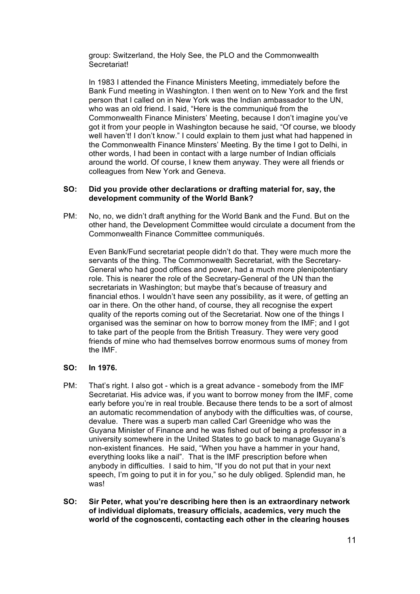group: Switzerland, the Holy See, the PLO and the Commonwealth **Secretariat!** 

In 1983 I attended the Finance Ministers Meeting, immediately before the Bank Fund meeting in Washington. I then went on to New York and the first person that I called on in New York was the Indian ambassador to the UN, who was an old friend. I said, "Here is the communiqué from the Commonwealth Finance Ministers' Meeting, because I don't imagine you've got it from your people in Washington because he said, "Of course, we bloody well haven't! I don't know." I could explain to them just what had happened in the Commonwealth Finance Minsters' Meeting. By the time I got to Delhi, in other words, I had been in contact with a large number of Indian officials around the world. Of course, I knew them anyway. They were all friends or colleagues from New York and Geneva.

## **SO: Did you provide other declarations or drafting material for, say, the development community of the World Bank?**

PM: No, no, we didn't draft anything for the World Bank and the Fund. But on the other hand, the Development Committee would circulate a document from the Commonwealth Finance Committee communiqués.

Even Bank/Fund secretariat people didn't do that. They were much more the servants of the thing. The Commonwealth Secretariat, with the Secretary-General who had good offices and power, had a much more plenipotentiary role. This is nearer the role of the Secretary-General of the UN than the secretariats in Washington; but maybe that's because of treasury and financial ethos. I wouldn't have seen any possibility, as it were, of getting an oar in there. On the other hand, of course, they all recognise the expert quality of the reports coming out of the Secretariat. Now one of the things I organised was the seminar on how to borrow money from the IMF; and I got to take part of the people from the British Treasury. They were very good friends of mine who had themselves borrow enormous sums of money from the IMF.

# **SO: In 1976.**

- PM: That's right. I also got which is a great advance somebody from the IMF Secretariat. His advice was, if you want to borrow money from the IMF, come early before you're in real trouble. Because there tends to be a sort of almost an automatic recommendation of anybody with the difficulties was, of course, devalue. There was a superb man called Carl Greenidge who was the Guyana Minister of Finance and he was fished out of being a professor in a university somewhere in the United States to go back to manage Guyana's non-existent finances. He said, "When you have a hammer in your hand, everything looks like a nail". That is the IMF prescription before when anybody in difficulties. I said to him, "If you do not put that in your next speech, I'm going to put it in for you," so he duly obliged. Splendid man, he was!
- **SO: Sir Peter, what you're describing here then is an extraordinary network of individual diplomats, treasury officials, academics, very much the world of the cognoscenti, contacting each other in the clearing houses**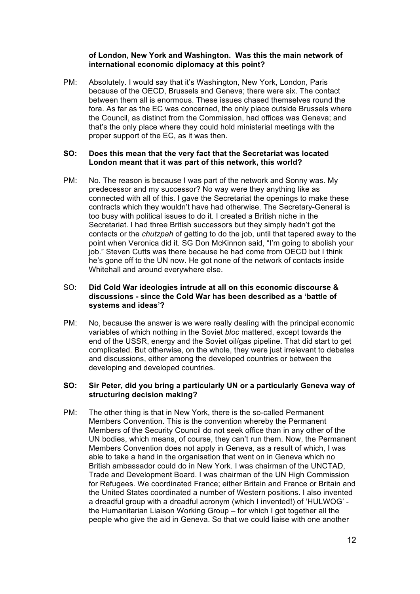# **of London, New York and Washington. Was this the main network of international economic diplomacy at this point?**

PM: Absolutely. I would say that it's Washington, New York, London, Paris because of the OECD, Brussels and Geneva; there were six. The contact between them all is enormous. These issues chased themselves round the fora. As far as the EC was concerned, the only place outside Brussels where the Council, as distinct from the Commission, had offices was Geneva; and that's the only place where they could hold ministerial meetings with the proper support of the EC, as it was then.

# **SO: Does this mean that the very fact that the Secretariat was located London meant that it was part of this network, this world?**

PM: No. The reason is because I was part of the network and Sonny was. My predecessor and my successor? No way were they anything like as connected with all of this. I gave the Secretariat the openings to make these contracts which they wouldn't have had otherwise. The Secretary-General is too busy with political issues to do it. I created a British niche in the Secretariat. I had three British successors but they simply hadn't got the contacts or the *chutzpah* of getting to do the job, until that tapered away to the point when Veronica did it. SG Don McKinnon said, "I'm going to abolish your job." Steven Cutts was there because he had come from OECD but I think he's gone off to the UN now. He got none of the network of contacts inside Whitehall and around everywhere else.

# SO: **Did Cold War ideologies intrude at all on this economic discourse & discussions - since the Cold War has been described as a 'battle of systems and ideas'?**

PM: No, because the answer is we were really dealing with the principal economic variables of which nothing in the Soviet *bloc* mattered, except towards the end of the USSR, energy and the Soviet oil/gas pipeline. That did start to get complicated. But otherwise, on the whole, they were just irrelevant to debates and discussions, either among the developed countries or between the developing and developed countries.

# **SO: Sir Peter, did you bring a particularly UN or a particularly Geneva way of structuring decision making?**

PM: The other thing is that in New York, there is the so-called Permanent Members Convention. This is the convention whereby the Permanent Members of the Security Council do not seek office than in any other of the UN bodies, which means, of course, they can't run them. Now, the Permanent Members Convention does not apply in Geneva, as a result of which, I was able to take a hand in the organisation that went on in Geneva which no British ambassador could do in New York. I was chairman of the UNCTAD, Trade and Development Board. I was chairman of the UN High Commission for Refugees. We coordinated France; either Britain and France or Britain and the United States coordinated a number of Western positions. I also invented a dreadful group with a dreadful acronym (which I invented!) of 'HULWOG' the Humanitarian Liaison Working Group – for which I got together all the people who give the aid in Geneva. So that we could liaise with one another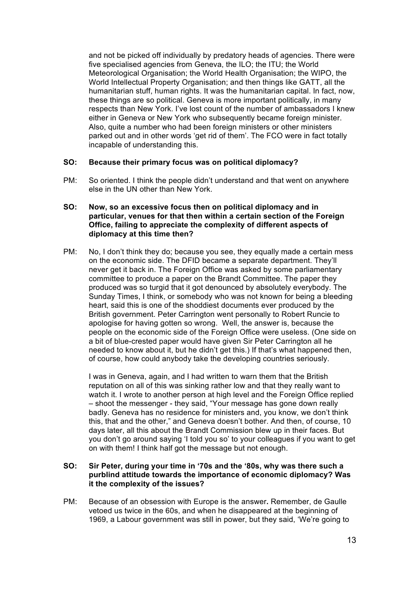and not be picked off individually by predatory heads of agencies. There were five specialised agencies from Geneva, the ILO; the ITU; the World Meteorological Organisation; the World Health Organisation; the WIPO, the World Intellectual Property Organisation; and then things like GATT, all the humanitarian stuff, human rights. It was the humanitarian capital. In fact, now, these things are so political. Geneva is more important politically, in many respects than New York. I've lost count of the number of ambassadors I knew either in Geneva or New York who subsequently became foreign minister. Also, quite a number who had been foreign ministers or other ministers parked out and in other words 'get rid of them'. The FCO were in fact totally incapable of understanding this.

# **SO: Because their primary focus was on political diplomacy?**

PM: So oriented. I think the people didn't understand and that went on anywhere else in the UN other than New York.

## **SO: Now, so an excessive focus then on political diplomacy and in particular, venues for that then within a certain section of the Foreign Office, failing to appreciate the complexity of different aspects of diplomacy at this time then?**

PM: No, I don't think they do; because you see, they equally made a certain mess on the economic side. The DFID became a separate department. They'll never get it back in. The Foreign Office was asked by some parliamentary committee to produce a paper on the Brandt Committee. The paper they produced was so turgid that it got denounced by absolutely everybody. The Sunday Times, I think, or somebody who was not known for being a bleeding heart, said this is one of the shoddiest documents ever produced by the British government. Peter Carrington went personally to Robert Runcie to apologise for having gotten so wrong. Well, the answer is, because the people on the economic side of the Foreign Office were useless. (One side on a bit of blue-crested paper would have given Sir Peter Carrington all he needed to know about it, but he didn't get this.) If that's what happened then, of course, how could anybody take the developing countries seriously.

I was in Geneva, again, and I had written to warn them that the British reputation on all of this was sinking rather low and that they really want to watch it. I wrote to another person at high level and the Foreign Office replied – shoot the messenger - they said, "Your message has gone down really badly. Geneva has no residence for ministers and, you know, we don't think this, that and the other," and Geneva doesn't bother. And then, of course, 10 days later, all this about the Brandt Commission blew up in their faces. But you don't go around saying 'I told you so' to your colleagues if you want to get on with them! I think half got the message but not enough.

# **SO: Sir Peter, during your time in '70s and the '80s, why was there such a purblind attitude towards the importance of economic diplomacy? Was it the complexity of the issues?**

PM: Because of an obsession with Europe is the answer**.** Remember, de Gaulle vetoed us twice in the 60s, and when he disappeared at the beginning of 1969, a Labour government was still in power, but they said, 'We're going to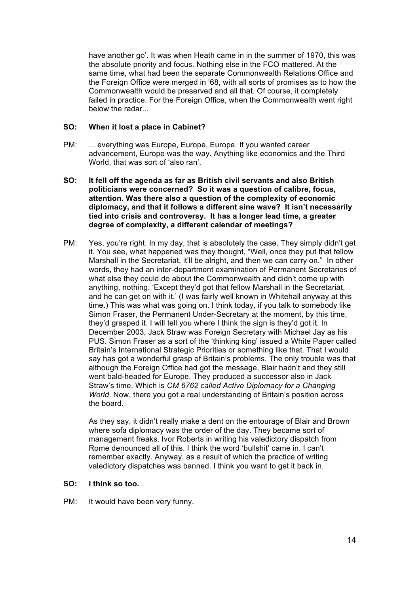have another go'. It was when Heath came in in the summer of 1970, this was the absolute priority and focus. Nothing else in the FCO mattered. At the same time, what had been the separate Commonwealth Relations Office and the Foreign Office were merged in '68, with all sorts of promises as to how the Commonwealth would be preserved and all that. Of course, it completely failed in practice. For the Foreign Office, when the Commonwealth went right below the radar...

### **SO: When it lost a place in Cabinet?**

- PM: ... everything was Europe, Europe, Europe. If you wanted career advancement, Europe was the way. Anything like economics and the Third World, that was sort of 'also ran'.
- **SO: It fell off the agenda as far as British civil servants and also British politicians were concerned? So it was a question of calibre, focus, attention. Was there also a question of the complexity of economic diplomacy, and that it follows a different sine wave? It isn't necessarily tied into crisis and controversy. It has a longer lead time, a greater degree of complexity, a different calendar of meetings?**
- PM: Yes, you're right. In my day, that is absolutely the case. They simply didn't get it. You see, what happened was they thought, "Well, once they put that fellow Marshall in the Secretariat, it'll be alright, and then we can carry on." In other words, they had an inter-department examination of Permanent Secretaries of what else they could do about the Commonwealth and didn't come up with anything, nothing. 'Except they'd got that fellow Marshall in the Secretariat, and he can get on with it.' (I was fairly well known in Whitehall anyway at this time.) This was what was going on. I think today, if you talk to somebody like Simon Fraser, the Permanent Under-Secretary at the moment, by this time, they'd grasped it. I will tell you where I think the sign is they'd got it*.* In December 2003, Jack Straw was Foreign Secretary with Michael Jay as his PUS. Simon Fraser as a sort of the 'thinking king' issued a White Paper called Britain's International Strategic Priorities or something like that. That I would say has got a wonderful grasp of Britain's problems. The only trouble was that although the Foreign Office had got the message, Blair hadn't and they still went bald-headed for Europe. They produced a successor also in Jack Straw's time. Which is *CM 6762 called Active Diplomacy for a Changing World*. Now, there you got a real understanding of Britain's position across the board.

As they say, it didn't really make a dent on the entourage of Blair and Brown where sofa diplomacy was the order of the day. They became sort of management freaks. Ivor Roberts in writing his valedictory dispatch from Rome denounced all of this. I think the word 'bullshit' came in. I can't remember exactly. Anyway, as a result of which the practice of writing valedictory dispatches was banned. I think you want to get it back in.

# **SO: I think so too.**

PM: It would have been very funny.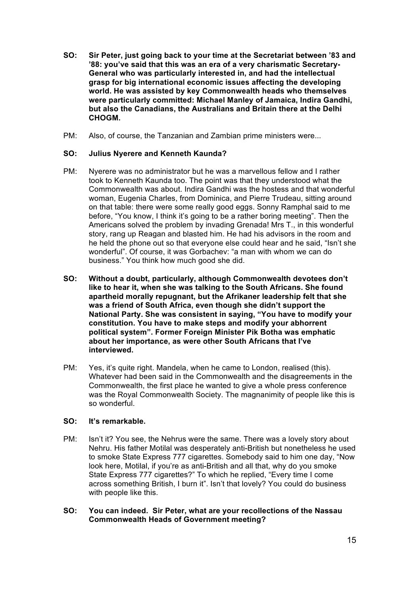- **SO: Sir Peter, just going back to your time at the Secretariat between '83 and '88: you've said that this was an era of a very charismatic Secretary-General who was particularly interested in, and had the intellectual grasp for big international economic issues affecting the developing world. He was assisted by key Commonwealth heads who themselves were particularly committed: Michael Manley of Jamaica, Indira Gandhi, but also the Canadians, the Australians and Britain there at the Delhi CHOGM.**
- PM: Also, of course, the Tanzanian and Zambian prime ministers were...

# **SO: Julius Nyerere and Kenneth Kaunda?**

- PM: Nyerere was no administrator but he was a marvellous fellow and I rather took to Kenneth Kaunda too. The point was that they understood what the Commonwealth was about. Indira Gandhi was the hostess and that wonderful woman, Eugenia Charles, from Dominica, and Pierre Trudeau, sitting around on that table: there were some really good eggs. Sonny Ramphal said to me before, "You know, I think it's going to be a rather boring meeting". Then the Americans solved the problem by invading Grenada! Mrs T., in this wonderful story, rang up Reagan and blasted him. He had his advisors in the room and he held the phone out so that everyone else could hear and he said, "Isn't she wonderful". Of course, it was Gorbachev: "a man with whom we can do business." You think how much good she did.
- **SO: Without a doubt, particularly, although Commonwealth devotees don't like to hear it, when she was talking to the South Africans. She found apartheid morally repugnant, but the Afrikaner leadership felt that she was a friend of South Africa, even though she didn't support the National Party. She was consistent in saying, "You have to modify your constitution. You have to make steps and modify your abhorrent political system". Former Foreign Minister Pik Botha was emphatic about her importance, as were other South Africans that I've interviewed.**
- PM: Yes, it's quite right. Mandela, when he came to London, realised (this). Whatever had been said in the Commonwealth and the disagreements in the Commonwealth, the first place he wanted to give a whole press conference was the Royal Commonwealth Society. The magnanimity of people like this is so wonderful.

#### **SO: It's remarkable.**

- PM: Isn't it? You see, the Nehrus were the same. There was a lovely story about Nehru. His father Motilal was desperately anti-British but nonetheless he used to smoke State Express 777 cigarettes. Somebody said to him one day, "Now look here, Motilal, if you're as anti-British and all that, why do you smoke State Express 777 cigarettes?" To which he replied, "Every time I come across something British, I burn it". Isn't that lovely? You could do business with people like this.
- **SO: You can indeed. Sir Peter, what are your recollections of the Nassau Commonwealth Heads of Government meeting?**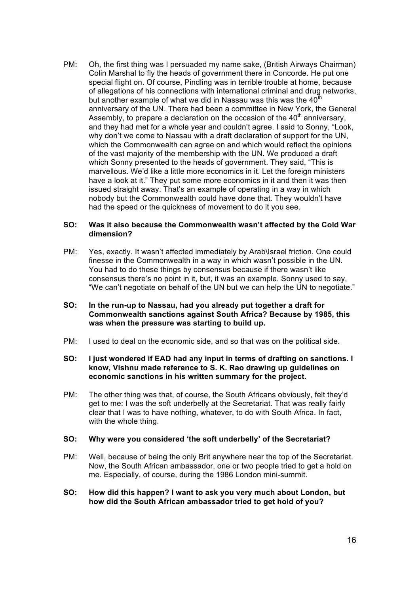PM: Oh, the first thing was I persuaded my name sake, (British Airways Chairman) Colin Marshal to fly the heads of government there in Concorde. He put one special flight on. Of course, Pindling was in terrible trouble at home, because of allegations of his connections with international criminal and drug networks, but another example of what we did in Nassau was this was the  $40<sup>th</sup>$ anniversary of the UN. There had been a committee in New York, the General Assembly, to prepare a declaration on the occasion of the  $40<sup>th</sup>$  anniversary, and they had met for a whole year and couldn't agree. I said to Sonny, "Look, why don't we come to Nassau with a draft declaration of support for the UN, which the Commonwealth can agree on and which would reflect the opinions of the vast majority of the membership with the UN. We produced a draft which Sonny presented to the heads of government. They said, "This is marvellous. We'd like a little more economics in it. Let the foreign ministers have a look at it." They put some more economics in it and then it was then issued straight away. That's an example of operating in a way in which nobody but the Commonwealth could have done that. They wouldn't have had the speed or the quickness of movement to do it you see.

### **SO: Was it also because the Commonwealth wasn't affected by the Cold War dimension?**

- PM: Yes, exactly. It wasn't affected immediately by Arab\Israel friction. One could finesse in the Commonwealth in a way in which wasn't possible in the UN. You had to do these things by consensus because if there wasn't like consensus there's no point in it, but, it was an example. Sonny used to say, "We can't negotiate on behalf of the UN but we can help the UN to negotiate."
- **SO: In the run-up to Nassau, had you already put together a draft for Commonwealth sanctions against South Africa? Because by 1985, this was when the pressure was starting to build up.**
- PM: I used to deal on the economic side, and so that was on the political side.
- **SO: I just wondered if EAD had any input in terms of drafting on sanctions. I know, Vishnu made reference to S. K. Rao drawing up guidelines on economic sanctions in his written summary for the project.**
- PM: The other thing was that, of course, the South Africans obviously, felt they'd get to me: I was the soft underbelly at the Secretariat. That was really fairly clear that I was to have nothing, whatever, to do with South Africa. In fact, with the whole thing.

#### **SO: Why were you considered 'the soft underbelly' of the Secretariat?**

- PM: Well, because of being the only Brit anywhere near the top of the Secretariat. Now, the South African ambassador, one or two people tried to get a hold on me. Especially, of course, during the 1986 London mini-summit.
- **SO: How did this happen? I want to ask you very much about London, but how did the South African ambassador tried to get hold of you?**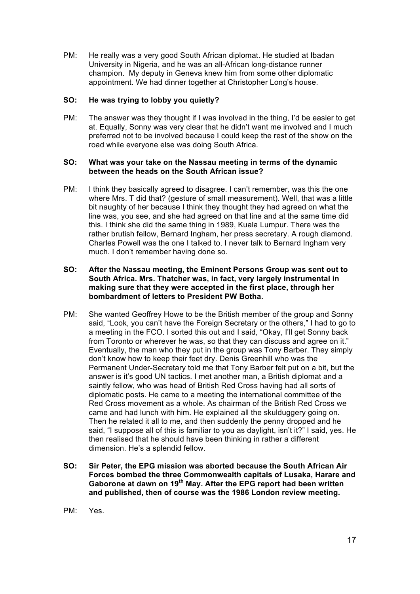PM: He really was a very good South African diplomat. He studied at Ibadan University in Nigeria, and he was an all-African long-distance runner champion. My deputy in Geneva knew him from some other diplomatic appointment. We had dinner together at Christopher Long's house.

# **SO: He was trying to lobby you quietly?**

PM: The answer was they thought if I was involved in the thing, I'd be easier to get at. Equally, Sonny was very clear that he didn't want me involved and I much preferred not to be involved because I could keep the rest of the show on the road while everyone else was doing South Africa.

### **SO: What was your take on the Nassau meeting in terms of the dynamic between the heads on the South African issue?**

PM: I think they basically agreed to disagree. I can't remember, was this the one where Mrs. T did that? (gesture of small measurement). Well, that was a little bit naughty of her because I think they thought they had agreed on what the line was, you see, and she had agreed on that line and at the same time did this. I think she did the same thing in 1989, Kuala Lumpur. There was the rather brutish fellow, Bernard Ingham, her press secretary. A rough diamond. Charles Powell was the one I talked to. I never talk to Bernard Ingham very much. I don't remember having done so.

# **SO: After the Nassau meeting, the Eminent Persons Group was sent out to South Africa. Mrs. Thatcher was, in fact, very largely instrumental in making sure that they were accepted in the first place, through her bombardment of letters to President PW Botha.**

- PM: She wanted Geoffrey Howe to be the British member of the group and Sonny said, "Look, you can't have the Foreign Secretary or the others," I had to go to a meeting in the FCO. I sorted this out and I said, "Okay, I'll get Sonny back from Toronto or wherever he was, so that they can discuss and agree on it." Eventually, the man who they put in the group was Tony Barber. They simply don't know how to keep their feet dry. Denis Greenhill who was the Permanent Under-Secretary told me that Tony Barber felt put on a bit, but the answer is it's good UN tactics. I met another man, a British diplomat and a saintly fellow, who was head of British Red Cross having had all sorts of diplomatic posts. He came to a meeting the international committee of the Red Cross movement as a whole. As chairman of the British Red Cross we came and had lunch with him. He explained all the skulduggery going on. Then he related it all to me, and then suddenly the penny dropped and he said, "I suppose all of this is familiar to you as daylight, isn't it?" I said, yes. He then realised that he should have been thinking in rather a different dimension. He's a splendid fellow.
- **SO: Sir Peter, the EPG mission was aborted because the South African Air Forces bombed the three Commonwealth capitals of Lusaka, Harare and Gaborone at dawn on 19th May. After the EPG report had been written and published, then of course was the 1986 London review meeting.**
- PM: Yes.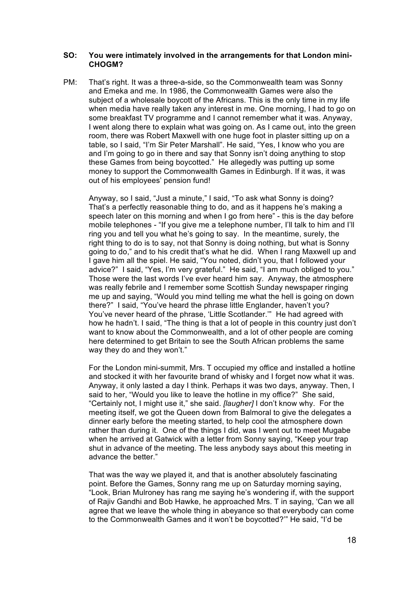#### **SO: You were intimately involved in the arrangements for that London mini-CHOGM?**

PM: That's right. It was a three-a-side, so the Commonwealth team was Sonny and Emeka and me. In 1986, the Commonwealth Games were also the subject of a wholesale boycott of the Africans. This is the only time in my life when media have really taken any interest in me. One morning, I had to go on some breakfast TV programme and I cannot remember what it was. Anyway, I went along there to explain what was going on. As I came out, into the green room, there was Robert Maxwell with one huge foot in plaster sitting up on a table, so I said, "I'm Sir Peter Marshall". He said, "Yes, I know who you are and I'm going to go in there and say that Sonny isn't doing anything to stop these Games from being boycotted." He allegedly was putting up some money to support the Commonwealth Games in Edinburgh. If it was, it was out of his employees' pension fund!

Anyway, so I said, "Just a minute," I said, "To ask what Sonny is doing? That's a perfectly reasonable thing to do, and as it happens he's making a speech later on this morning and when I go from here" - this is the day before mobile telephones - "If you give me a telephone number, I'll talk to him and I'll ring you and tell you what he's going to say. In the meantime, surely, the right thing to do is to say, not that Sonny is doing nothing, but what is Sonny going to do," and to his credit that's what he did. When I rang Maxwell up and I gave him all the spiel. He said, "You noted, didn't you, that I followed your advice?" I said, "Yes, I'm very grateful." He said, "I am much obliged to you." Those were the last words I've ever heard him say. Anyway, the atmosphere was really febrile and I remember some Scottish Sunday newspaper ringing me up and saying, "Would you mind telling me what the hell is going on down there?" I said, "You've heard the phrase little Englander, haven't you? You've never heard of the phrase, 'Little Scotlander.'" He had agreed with how he hadn't. I said, "The thing is that a lot of people in this country just don't want to know about the Commonwealth, and a lot of other people are coming here determined to get Britain to see the South African problems the same way they do and they won't."

For the London mini-summit, Mrs. T occupied my office and installed a hotline and stocked it with her favourite brand of whisky and I forget now what it was. Anyway, it only lasted a day I think. Perhaps it was two days, anyway. Then, I said to her, "Would you like to leave the hotline in my office?" She said, "Certainly not, I might use it," she said. *[laugher]* I don't know why. For the meeting itself, we got the Queen down from Balmoral to give the delegates a dinner early before the meeting started, to help cool the atmosphere down rather than during it. One of the things I did, was I went out to meet Mugabe when he arrived at Gatwick with a letter from Sonny saying, "Keep your trap shut in advance of the meeting. The less anybody says about this meeting in advance the better."

That was the way we played it, and that is another absolutely fascinating point. Before the Games, Sonny rang me up on Saturday morning saying, "Look, Brian Mulroney has rang me saying he's wondering if, with the support of Rajiv Gandhi and Bob Hawke, he approached Mrs. T in saying, 'Can we all agree that we leave the whole thing in abeyance so that everybody can come to the Commonwealth Games and it won't be boycotted?'" He said, "I'd be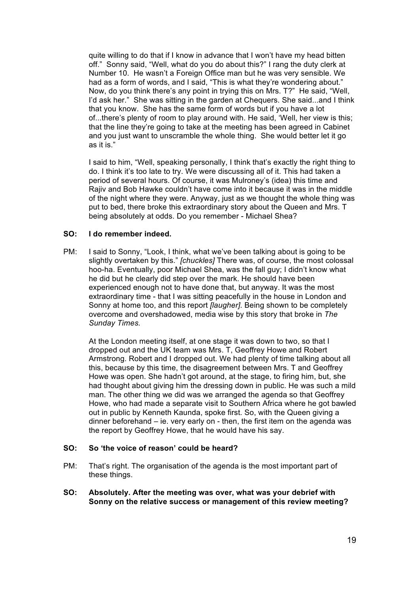quite willing to do that if I know in advance that I won't have my head bitten off." Sonny said, "Well, what do you do about this?" I rang the duty clerk at Number 10. He wasn't a Foreign Office man but he was very sensible. We had as a form of words, and I said, "This is what they're wondering about." Now, do you think there's any point in trying this on Mrs. T?" He said, "Well, I'd ask her." She was sitting in the garden at Chequers. She said...and I think that you know. She has the same form of words but if you have a lot of...there's plenty of room to play around with. He said, 'Well, her view is this; that the line they're going to take at the meeting has been agreed in Cabinet and you just want to unscramble the whole thing. She would better let it go as it is."

I said to him, "Well, speaking personally, I think that's exactly the right thing to do. I think it's too late to try. We were discussing all of it. This had taken a period of several hours. Of course, it was Mulroney's (idea) this time and Rajiv and Bob Hawke couldn't have come into it because it was in the middle of the night where they were. Anyway, just as we thought the whole thing was put to bed, there broke this extraordinary story about the Queen and Mrs. T being absolutely at odds. Do you remember - Michael Shea?

# **SO: I do remember indeed.**

PM: I said to Sonny, "Look, I think, what we've been talking about is going to be slightly overtaken by this." *[chuckles]* There was, of course, the most colossal hoo-ha. Eventually, poor Michael Shea, was the fall guy; I didn't know what he did but he clearly did step over the mark. He should have been experienced enough not to have done that, but anyway. It was the most extraordinary time - that I was sitting peacefully in the house in London and Sonny at home too, and this report *[laugher]*. Being shown to be completely overcome and overshadowed, media wise by this story that broke in *The Sunday Times.*

At the London meeting itself, at one stage it was down to two, so that I dropped out and the UK team was Mrs. T, Geoffrey Howe and Robert Armstrong. Robert and I dropped out. We had plenty of time talking about all this, because by this time, the disagreement between Mrs. T and Geoffrey Howe was open. She hadn't got around, at the stage, to firing him, but, she had thought about giving him the dressing down in public. He was such a mild man. The other thing we did was we arranged the agenda so that Geoffrey Howe, who had made a separate visit to Southern Africa where he got bawled out in public by Kenneth Kaunda, spoke first. So, with the Queen giving a dinner beforehand – ie. very early on - then, the first item on the agenda was the report by Geoffrey Howe, that he would have his say.

#### **SO: So 'the voice of reason' could be heard?**

- PM: That's right. The organisation of the agenda is the most important part of these things.
- **SO: Absolutely. After the meeting was over, what was your debrief with Sonny on the relative success or management of this review meeting?**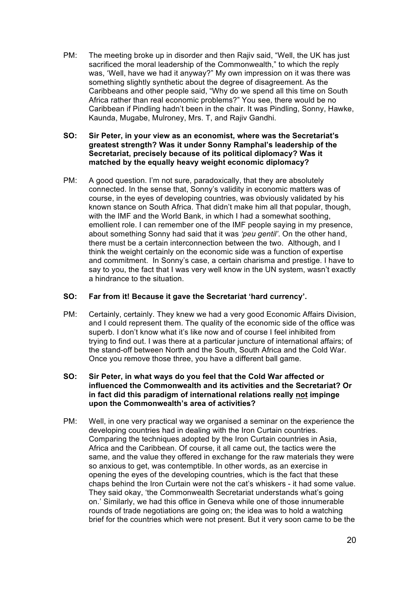PM: The meeting broke up in disorder and then Rajiv said, "Well, the UK has just sacrificed the moral leadership of the Commonwealth," to which the reply was, 'Well, have we had it anyway?" My own impression on it was there was something slightly synthetic about the degree of disagreement. As the Caribbeans and other people said, "Why do we spend all this time on South Africa rather than real economic problems?" You see, there would be no Caribbean if Pindling hadn't been in the chair. It was Pindling, Sonny, Hawke, Kaunda, Mugabe, Mulroney, Mrs. T, and Rajiv Gandhi.

## **SO: Sir Peter, in your view as an economist, where was the Secretariat's greatest strength? Was it under Sonny Ramphal's leadership of the Secretariat, precisely because of its political diplomacy? Was it matched by the equally heavy weight economic diplomacy?**

PM: A good question. I'm not sure, paradoxically, that they are absolutely connected. In the sense that, Sonny's validity in economic matters was of course, in the eyes of developing countries, was obviously validated by his known stance on South Africa. That didn't make him all that popular, though, with the IMF and the World Bank, in which I had a somewhat soothing. emollient role. I can remember one of the IMF people saying in my presence, about something Sonny had said that it was *'peu gentil'*. On the other hand, there must be a certain interconnection between the two. Although, and I think the weight certainly on the economic side was a function of expertise and commitment. In Sonny's case, a certain charisma and prestige. I have to say to you, the fact that I was very well know in the UN system, wasn't exactly a hindrance to the situation.

# **SO: Far from it! Because it gave the Secretariat 'hard currency'.**

PM: Certainly, certainly. They knew we had a very good Economic Affairs Division, and I could represent them. The quality of the economic side of the office was superb. I don't know what it's like now and of course I feel inhibited from trying to find out. I was there at a particular juncture of international affairs; of the stand-off between North and the South, South Africa and the Cold War. Once you remove those three, you have a different ball game.

### **SO: Sir Peter, in what ways do you feel that the Cold War affected or influenced the Commonwealth and its activities and the Secretariat? Or in fact did this paradigm of international relations really not impinge upon the Commonwealth's area of activities?**

PM: Well, in one very practical way we organised a seminar on the experience the developing countries had in dealing with the Iron Curtain countries. Comparing the techniques adopted by the Iron Curtain countries in Asia, Africa and the Caribbean. Of course, it all came out, the tactics were the same, and the value they offered in exchange for the raw materials they were so anxious to get, was contemptible. In other words, as an exercise in opening the eyes of the developing countries, which is the fact that these chaps behind the Iron Curtain were not the cat's whiskers - it had some value. They said okay, 'the Commonwealth Secretariat understands what's going on.' Similarly, we had this office in Geneva while one of those innumerable rounds of trade negotiations are going on; the idea was to hold a watching brief for the countries which were not present. But it very soon came to be the